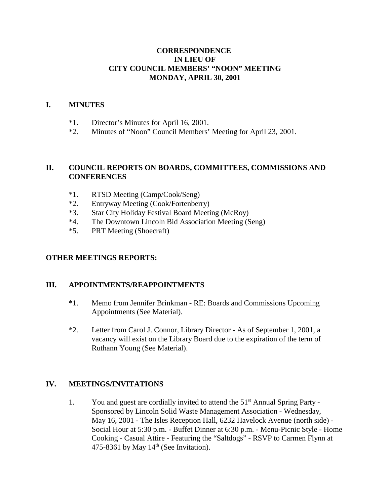# **CORRESPONDENCE IN LIEU OF CITY COUNCIL MEMBERS' "NOON" MEETING MONDAY, APRIL 30, 2001**

#### **I. MINUTES**

- \*1. Director's Minutes for April 16, 2001.
- \*2. Minutes of "Noon" Council Members' Meeting for April 23, 2001.

## **II. COUNCIL REPORTS ON BOARDS, COMMITTEES, COMMISSIONS AND CONFERENCES**

- \*1. RTSD Meeting (Camp/Cook/Seng)
- \*2. Entryway Meeting (Cook/Fortenberry)
- \*3. Star City Holiday Festival Board Meeting (McRoy)
- \*4. The Downtown Lincoln Bid Association Meeting (Seng)
- \*5. PRT Meeting (Shoecraft)

#### **OTHER MEETINGS REPORTS:**

#### **III. APPOINTMENTS/REAPPOINTMENTS**

- **\***1. Memo from Jennifer Brinkman RE: Boards and Commissions Upcoming Appointments (See Material).
- \*2. Letter from Carol J. Connor, Library Director As of September 1, 2001, a vacancy will exist on the Library Board due to the expiration of the term of Ruthann Young (See Material).

# **IV. MEETINGS/INVITATIONS**

1. You and guest are cordially invited to attend the 51<sup>st</sup> Annual Spring Party -Sponsored by Lincoln Solid Waste Management Association - Wednesday, May 16, 2001 - The Isles Reception Hall, 6232 Havelock Avenue (north side) - Social Hour at 5:30 p.m. - Buffet Dinner at 6:30 p.m. - Menu-Picnic Style - Home Cooking - Casual Attire - Featuring the "Saltdogs" - RSVP to Carmen Flynn at 475-8361 by May  $14<sup>th</sup>$  (See Invitation).